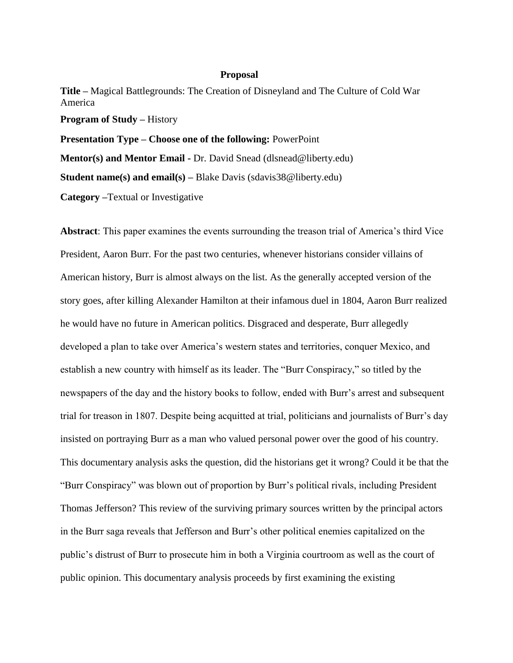## **Proposal**

**Title –** Magical Battlegrounds: The Creation of Disneyland and The Culture of Cold War America **Program of Study –** History **Presentation Type – Choose one of the following:** PowerPoint

**Mentor(s) and Mentor Email -** Dr. David Snead (dlsnead@liberty.edu)

**Student name(s) and email(s)** – Blake Davis (sdavis38@liberty.edu)

**Category –**Textual or Investigative

**Abstract**: This paper examines the events surrounding the treason trial of America's third Vice President, Aaron Burr. For the past two centuries, whenever historians consider villains of American history, Burr is almost always on the list. As the generally accepted version of the story goes, after killing Alexander Hamilton at their infamous duel in 1804, Aaron Burr realized he would have no future in American politics. Disgraced and desperate, Burr allegedly developed a plan to take over America's western states and territories, conquer Mexico, and establish a new country with himself as its leader. The "Burr Conspiracy," so titled by the newspapers of the day and the history books to follow, ended with Burr's arrest and subsequent trial for treason in 1807. Despite being acquitted at trial, politicians and journalists of Burr's day insisted on portraying Burr as a man who valued personal power over the good of his country. This documentary analysis asks the question, did the historians get it wrong? Could it be that the "Burr Conspiracy" was blown out of proportion by Burr's political rivals, including President Thomas Jefferson? This review of the surviving primary sources written by the principal actors in the Burr saga reveals that Jefferson and Burr's other political enemies capitalized on the public's distrust of Burr to prosecute him in both a Virginia courtroom as well as the court of public opinion. This documentary analysis proceeds by first examining the existing